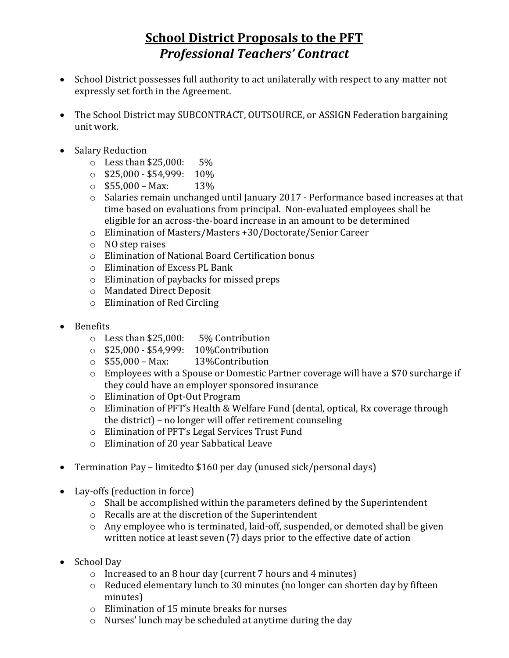## **School District Proposals to the PFT** *Professional Teachers' Contract*

- School District possesses full authority to act unilaterally with respect to any matter not expressly set forth in the Agreement.
- The School District may SUBCONTRACT, OUTSOURCE, or ASSIGN Federation bargaining unit work.
- Salary Reduction
	- o Less than \$25,000: 5%
	- $\circ$  \$25,000 \$54,999: 10%
	- $\circ$  \$55,000 Max: 13%
	- o Salaries remain unchanged until January 2017 Performance based increases at that time based on evaluations from principal. Non-evaluated employees shall be eligible for an across-the-board increase in an amount to be determined
	- o Elimination of Masters/Masters +30/Doctorate/Senior Career
	- o NO step raises
	- o Elimination of National Board Certification bonus
	- o Elimination of Excess PL Bank
	- o Elimination of paybacks for missed preps
	- o Mandated Direct Deposit
	- o Elimination of Red Circling
- Benefits
	- o Less than \$25,000: 5% Contribution
	- o \$25,000 \$54,999: 10%Contribution
	- $\circ$  \$55,000 Max: 13% Contribution
	- o Employees with a Spouse or Domestic Partner coverage will have a \$70 surcharge if they could have an employer sponsored insurance
	- o Elimination of Opt-Out Program
	- o Elimination of PFT's Health & Welfare Fund (dental, optical, Rx coverage through the district) – no longer will offer retirement counseling
	- o Elimination of PFT's Legal Services Trust Fund
	- o Elimination of 20 year Sabbatical Leave
- Termination Pay limitedto \$160 per day (unused sick/personal days)
- Lay-offs (reduction in force)
	- o Shall be accomplished within the parameters defined by the Superintendent
	- o Recalls are at the discretion of the Superintendent
	- o Any employee who is terminated, laid-off, suspended, or demoted shall be given written notice at least seven (7) days prior to the effective date of action
- School Day
	- o Increased to an 8 hour day (current 7 hours and 4 minutes)
	- o Reduced elementary lunch to 30 minutes (no longer can shorten day by fifteen minutes)
	- o Elimination of 15 minute breaks for nurses
	- o Nurses' lunch may be scheduled at anytime during the day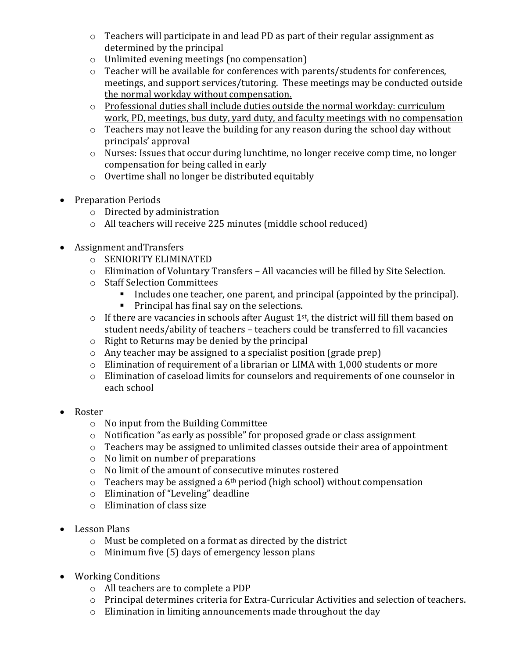- o Teachers will participate in and lead PD as part of their regular assignment as determined by the principal
- o Unlimited evening meetings (no compensation)
- o Teacher will be available for conferences with parents/students for conferences, meetings, and support services/tutoring. These meetings may be conducted outside the normal workday without compensation.
- o Professional duties shall include duties outside the normal workday: curriculum work, PD, meetings, bus duty, yard duty, and faculty meetings with no compensation
- $\circ$  Teachers may not leave the building for any reason during the school day without principals' approval
- o Nurses: Issues that occur during lunchtime, no longer receive comp time, no longer compensation for being called in early
- o Overtime shall no longer be distributed equitably
- Preparation Periods
	- o Directed by administration
	- o All teachers will receive 225 minutes (middle school reduced)
- Assignment andTransfers
	- o SENIORITY ELIMINATED
	- o Elimination of Voluntary Transfers All vacancies will be filled by Site Selection.
	- o Staff Selection Committees
		- Includes one teacher, one parent, and principal (appointed by the principal).
		- **Principal has final say on the selections.**
	- $\circ$  If there are vacancies in schools after August 1<sup>st</sup>, the district will fill them based on student needs/ability of teachers – teachers could be transferred to fill vacancies
	- o Right to Returns may be denied by the principal
	- o Any teacher may be assigned to a specialist position (grade prep)
	- o Elimination of requirement of a librarian or LIMA with 1,000 students or more
	- o Elimination of caseload limits for counselors and requirements of one counselor in each school
- Roster
	- o No input from the Building Committee
	- o Notification "as early as possible" for proposed grade or class assignment
	- o Teachers may be assigned to unlimited classes outside their area of appointment
	- o No limit on number of preparations
	- o No limit of the amount of consecutive minutes rostered
	- $\circ$  Teachers may be assigned a 6<sup>th</sup> period (high school) without compensation
	- o Elimination of "Leveling" deadline
	- o Elimination of class size
- Lesson Plans
	- o Must be completed on a format as directed by the district
	- o Minimum five (5) days of emergency lesson plans
- Working Conditions
	- o All teachers are to complete a PDP
	- o Principal determines criteria for Extra-Curricular Activities and selection of teachers.
	- o Elimination in limiting announcements made throughout the day